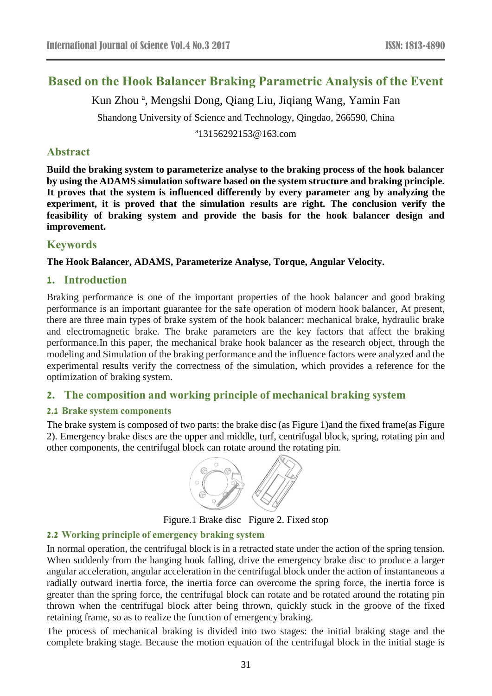# **Based on the Hook Balancer Braking Parametric Analysis of the Event**

Kun Zhou<sup>a</sup>, Mengshi Dong, Qiang Liu, Jiqiang Wang, Yamin Fan

Shandong University of Science and Technology, Qingdao, 266590, China

a 13156292153@163.com

### **Abstract**

**Build the braking system to parameterize analyse to the braking process of the hook balancer by using the ADAMS simulation software based on the system structure and braking principle. It proves that the system is influenced differently by every parameter ang by analyzing the experiment, it is proved that the simulation results are right. The conclusion verify the feasibility of braking system and provide the basis for the hook balancer design and improvement.**

# **Keywords**

### **The Hook Balancer, ADAMS, Parameterize Analyse, Torque, Angular Velocity.**

### **1. Introduction**

Braking performance is one of the important properties of the hook balancer and good braking performance is an important guarantee for the safe operation of modern hook balancer, At present, there are three main types of brake system of the hook balancer: mechanical brake, hydraulic brake and electromagnetic brake. The brake parameters are the key factors that affect the braking performance.In this paper, the mechanical brake hook balancer as the research object, through the modeling and Simulation of the braking performance and the influence factors were analyzed and the experimental results verify the correctness of the simulation, which provides a reference for the optimization of braking system.

# **2. The composition and working principle of mechanical braking system**

### **2.1 Brake system components**

The brake system is composed of two parts: the brake disc (as Figure 1)and the fixed frame(as Figure 2). Emergency brake discs are the upper and middle, turf, centrifugal block, spring, rotating pin and other components, the centrifugal block can rotate around the rotating pin.



Figure.1 Brake disc Figure 2. Fixed stop

### **2.2 Working principle of emergency braking system**

In normal operation, the centrifugal block is in a retracted state under the action of the spring tension. When suddenly from the hanging hook falling, drive the emergency brake disc to produce a larger angular acceleration, angular acceleration in the centrifugal block under the action of instantaneous a radially outward inertia force, the inertia force can overcome the spring force, the inertia force is greater than the spring force, the centrifugal block can rotate and be rotated around the rotating pin thrown when the centrifugal block after being thrown, quickly stuck in the groove of the fixed retaining frame, so as to realize the function of emergency braking.

The process of mechanical braking is divided into two stages: the initial braking stage and the complete braking stage. Because the motion equation of the centrifugal block in the initial stage is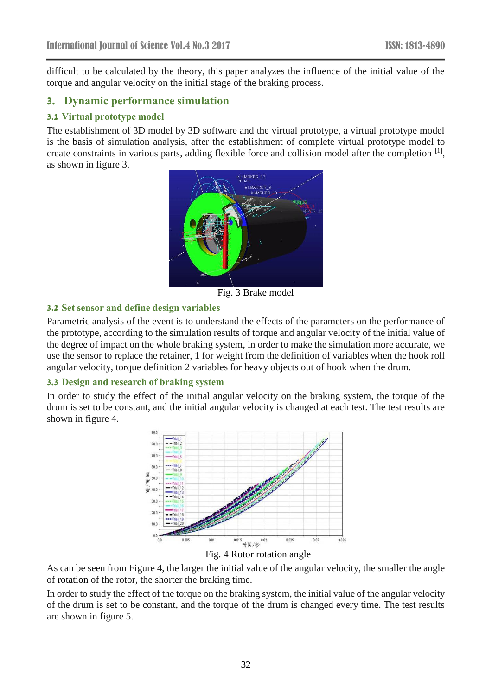difficult to be calculated by the theory, this paper analyzes the influence of the initial value of the torque and angular velocity on the initial stage of the braking process.

# **3. Dynamic performance simulation**

### **3.1 Virtual prototype model**

The establishment of 3D model by 3D software and the virtual prototype, a virtual prototype model is the basis of simulation analysis, after the establishment of complete virtual prototype model to create constraints in various parts, adding flexible force and collision model after the completion [1], as shown in figure 3.



Fig. 3 Brake model

### **3.2 Set sensor and define design variables**

Parametric analysis of the event is to understand the effects of the parameters on the performance of the prototype, according to the simulation results of torque and angular velocity of the initial value of the degree of impact on the whole braking system, in order to make the simulation more accurate, we use the sensor to replace the retainer, 1 for weight from the definition of variables when the hook roll angular velocity, torque definition 2 variables for heavy objects out of hook when the drum.

### **3.3 Design and research of braking system**

In order to study the effect of the initial angular velocity on the braking system, the torque of the drum is set to be constant, and the initial angular velocity is changed at each test. The test results are shown in figure 4.



Fig. 4 Rotor rotation angle

As can be seen from Figure 4, the larger the initial value of the angular velocity, the smaller the angle of rotation of the rotor, the shorter the braking time.

In order to study the effect of the torque on the braking system, the initial value of the angular velocity of the drum is set to be constant, and the torque of the drum is changed every time. The test results are shown in figure 5.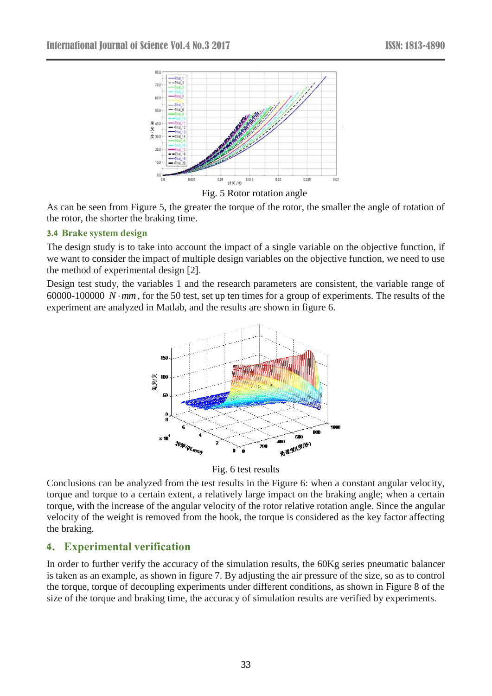



As can be seen from Figure 5, the greater the torque of the rotor, the smaller the angle of rotation of the rotor, the shorter the braking time.

### **3.4 Brake system design**

The design study is to take into account the impact of a single variable on the objective function, if we want to consider the impact of multiple design variables on the objective function, we need to use the method of experimental design [2].

Design test study, the variables 1 and the research parameters are consistent, the variable range of 60000-100000  $N \cdot mm$ , for the 50 test, set up ten times for a group of experiments. The results of the experiment are analyzed in Matlab, and the results are shown in figure 6.



Fig. 6 test results

Conclusions can be analyzed from the test results in the Figure 6: when a constant angular velocity, torque and torque to a certain extent, a relatively large impact on the braking angle; when a certain torque, with the increase of the angular velocity of the rotor relative rotation angle. Since the angular velocity of the weight is removed from the hook, the torque is considered as the key factor affecting the braking.

# **4. Experimental verification**

In order to further verify the accuracy of the simulation results, the 60Kg series pneumatic balancer is taken as an example, as shown in figure 7. By adjusting the air pressure of the size, so as to control the torque, torque of decoupling experiments under different conditions, as shown in Figure 8 of the size of the torque and braking time, the accuracy of simulation results are verified by experiments.